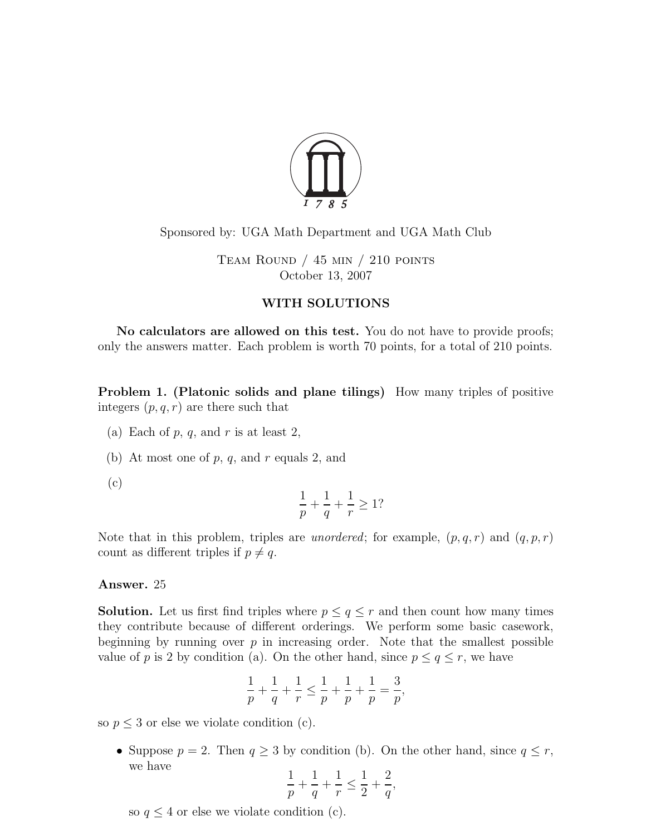

# Sponsored by: UGA Math Department and UGA Math Club

TEAM ROUND  $/$  45 min  $/$  210 points October 13, 2007

## WITH SOLUTIONS

No calculators are allowed on this test. You do not have to provide proofs; only the answers matter. Each problem is worth 70 points, for a total of 210 points.

Problem 1. (Platonic solids and plane tilings) How many triples of positive integers  $(p, q, r)$  are there such that

- (a) Each of  $p, q$ , and  $r$  is at least 2,
- (b) At most one of  $p, q$ , and  $r$  equals 2, and
- (c)

$$
\frac{1}{p} + \frac{1}{q} + \frac{1}{r} \ge 1?
$$

Note that in this problem, triples are *unordered*; for example,  $(p, q, r)$  and  $(q, p, r)$ count as different triples if  $p \neq q$ .

### Answer. 25

**Solution.** Let us first find triples where  $p \le q \le r$  and then count how many times they contribute because of different orderings. We perform some basic casework, beginning by running over  $p$  in increasing order. Note that the smallest possible value of p is 2 by condition (a). On the other hand, since  $p \le q \le r$ , we have

$$
\frac{1}{p} + \frac{1}{q} + \frac{1}{r} \le \frac{1}{p} + \frac{1}{p} + \frac{1}{p} = \frac{3}{p},
$$

so  $p \leq 3$  or else we violate condition (c).

• Suppose  $p = 2$ . Then  $q \ge 3$  by condition (b). On the other hand, since  $q \le r$ , we have

$$
\frac{1}{p} + \frac{1}{q} + \frac{1}{r} \le \frac{1}{2} + \frac{2}{q},
$$

so  $q \leq 4$  or else we violate condition (c).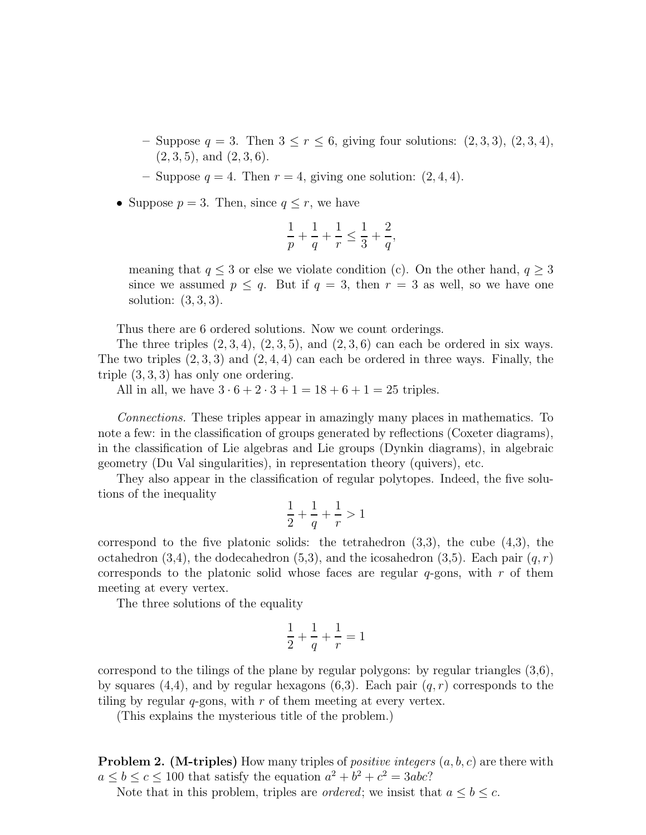- Suppose  $q = 3$ . Then  $3 \leq r \leq 6$ , giving four solutions:  $(2,3,3)$ ,  $(2,3,4)$ ,  $(2, 3, 5)$ , and  $(2, 3, 6)$ .
- Suppose  $q = 4$ . Then  $r = 4$ , giving one solution:  $(2, 4, 4)$ .
- Suppose  $p = 3$ . Then, since  $q \leq r$ , we have

$$
\frac{1}{p}+\frac{1}{q}+\frac{1}{r}\leq \frac{1}{3}+\frac{2}{q},
$$

meaning that  $q \leq 3$  or else we violate condition (c). On the other hand,  $q \geq 3$ since we assumed  $p \leq q$ . But if  $q = 3$ , then  $r = 3$  as well, so we have one solution:  $(3, 3, 3)$ .

Thus there are 6 ordered solutions. Now we count orderings.

The three triples  $(2, 3, 4)$ ,  $(2, 3, 5)$ , and  $(2, 3, 6)$  can each be ordered in six ways. The two triples  $(2,3,3)$  and  $(2,4,4)$  can each be ordered in three ways. Finally, the triple (3, 3, 3) has only one ordering.

All in all, we have  $3 \cdot 6 + 2 \cdot 3 + 1 = 18 + 6 + 1 = 25$  triples.

Connections. These triples appear in amazingly many places in mathematics. To note a few: in the classification of groups generated by reflections (Coxeter diagrams), in the classification of Lie algebras and Lie groups (Dynkin diagrams), in algebraic geometry (Du Val singularities), in representation theory (quivers), etc.

They also appear in the classification of regular polytopes. Indeed, the five solutions of the inequality

$$
\frac{1}{2} + \frac{1}{q} + \frac{1}{r} > 1
$$

correspond to the five platonic solids: the tetrahedron  $(3,3)$ , the cube  $(4,3)$ , the octahedron (3,4), the dodecahedron (5,3), and the icosahedron (3,5). Each pair  $(q, r)$ corresponds to the platonic solid whose faces are regular  $q$ -gons, with r of them meeting at every vertex.

The three solutions of the equality

$$
\frac{1}{2} + \frac{1}{q} + \frac{1}{r} = 1
$$

correspond to the tilings of the plane by regular polygons: by regular triangles (3,6), by squares  $(4,4)$ , and by regular hexagons  $(6,3)$ . Each pair  $(q, r)$  corresponds to the tiling by regular  $q$ -gons, with  $r$  of them meeting at every vertex.

(This explains the mysterious title of the problem.)

**Problem 2.** (M-triples) How many triples of *positive integers*  $(a, b, c)$  are there with  $a \leq b \leq c \leq 100$  that satisfy the equation  $a^2 + b^2 + c^2 = 3abc$ ?

Note that in this problem, triples are *ordered*; we insist that  $a \leq b \leq c$ .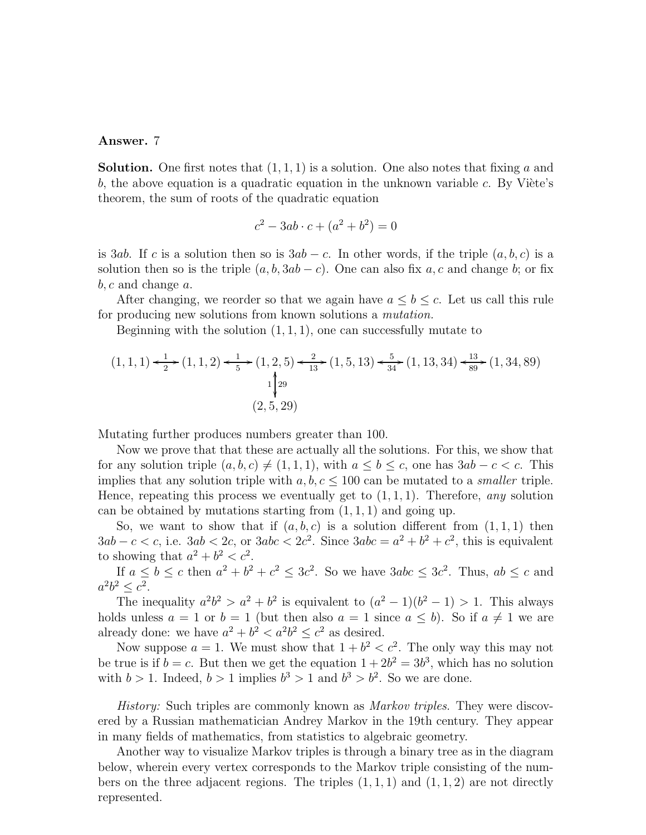#### Answer. 7

**Solution.** One first notes that  $(1, 1, 1)$  is a solution. One also notes that fixing a and b, the above equation is a quadratic equation in the unknown variable c. By Viete's theorem, the sum of roots of the quadratic equation

$$
c^2 - 3ab \cdot c + (a^2 + b^2) = 0
$$

is 3ab. If c is a solution then so is  $3ab - c$ . In other words, if the triple  $(a, b, c)$  is a solution then so is the triple  $(a, b, 3ab - c)$ . One can also fix a, c and change b; or fix  $b, c$  and change  $a$ .

After changing, we reorder so that we again have  $a \leq b \leq c$ . Let us call this rule for producing new solutions from known solutions a mutation.

Beginning with the solution  $(1, 1, 1)$ , one can successfully mutate to

$$
(1,1,1) \xleftarrow{1} \xleftarrow{1} (1,1,2) \xleftarrow{1} \xleftarrow{1} (1,2,5) \xleftarrow{2} (1,5,13) \xleftarrow{5} (1,13,34) \xleftarrow{13} (1,34,89)
$$

$$
\downarrow \downarrow \downarrow 29
$$

$$
(2,5,29)
$$

Mutating further produces numbers greater than 100.

Now we prove that that these are actually all the solutions. For this, we show that for any solution triple  $(a, b, c) \neq (1, 1, 1)$ , with  $a \leq b \leq c$ , one has  $3ab - c < c$ . This implies that any solution triple with  $a, b, c \leq 100$  can be mutated to a *smaller* triple. Hence, repeating this process we eventually get to  $(1, 1, 1)$ . Therefore, any solution can be obtained by mutations starting from  $(1, 1, 1)$  and going up.

So, we want to show that if  $(a, b, c)$  is a solution different from  $(1, 1, 1)$  then  $3ab - c < c$ , i.e.  $3ab < 2c$ , or  $3abc < 2c^2$ . Since  $3abc = a^2 + b^2 + c^2$ , this is equivalent to showing that  $a^2 + b^2 < c^2$ .

If  $a \leq b \leq c$  then  $a^2 + b^2 + c^2 \leq 3c^2$ . So we have  $3abc \leq 3c^2$ . Thus,  $ab \leq c$  and  $a^2b^2 \leq c^2$ .

The inequality  $a^2b^2 > a^2 + b^2$  is equivalent to  $(a^2 - 1)(b^2 - 1) > 1$ . This always holds unless  $a = 1$  or  $b = 1$  (but then also  $a = 1$  since  $a \leq b$ ). So if  $a \neq 1$  we are already done: we have  $a^2 + b^2 < a^2b^2 \le c^2$  as desired.

Now suppose  $a = 1$ . We must show that  $1 + b^2 < c^2$ . The only way this may not be true is if  $b = c$ . But then we get the equation  $1 + 2b^2 = 3b^3$ , which has no solution with  $b > 1$ . Indeed,  $b > 1$  implies  $b^3 > 1$  and  $b^3 > b^2$ . So we are done.

History: Such triples are commonly known as Markov triples. They were discovered by a Russian mathematician Andrey Markov in the 19th century. They appear in many fields of mathematics, from statistics to algebraic geometry.

Another way to visualize Markov triples is through a binary tree as in the diagram below, wherein every vertex corresponds to the Markov triple consisting of the numbers on the three adjacent regions. The triples  $(1, 1, 1)$  and  $(1, 1, 2)$  are not directly represented.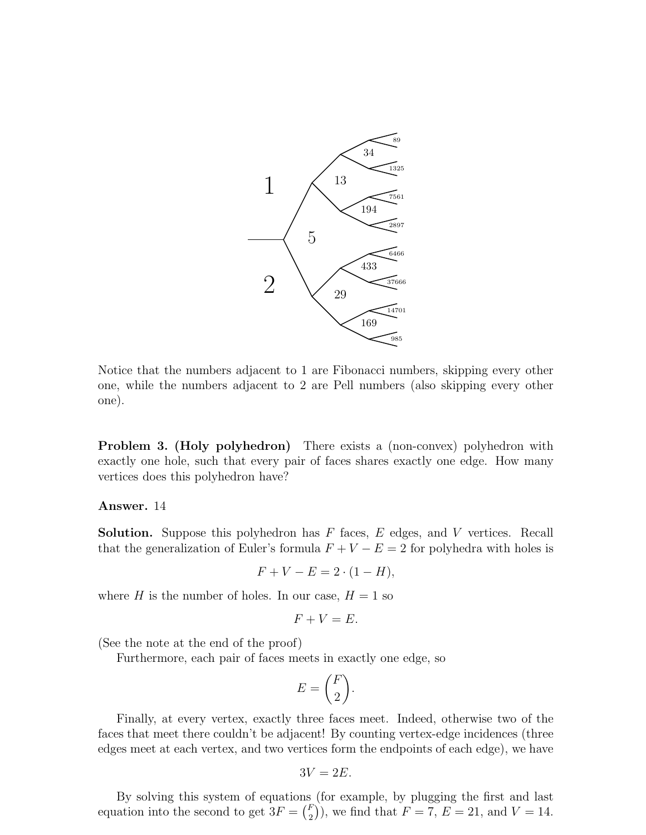

Notice that the numbers adjacent to 1 are Fibonacci numbers, skipping every other one, while the numbers adjacent to 2 are Pell numbers (also skipping every other one).

Problem 3. (Holy polyhedron) There exists a (non-convex) polyhedron with exactly one hole, such that every pair of faces shares exactly one edge. How many vertices does this polyhedron have?

#### Answer. 14

**Solution.** Suppose this polyhedron has  $F$  faces,  $E$  edges, and  $V$  vertices. Recall that the generalization of Euler's formula  $F + V - E = 2$  for polyhedra with holes is

$$
F + V - E = 2 \cdot (1 - H),
$$

where H is the number of holes. In our case,  $H = 1$  so

$$
F + V = E.
$$

(See the note at the end of the proof)

Furthermore, each pair of faces meets in exactly one edge, so

$$
E = \binom{F}{2}.
$$

Finally, at every vertex, exactly three faces meet. Indeed, otherwise two of the faces that meet there couldn't be adjacent! By counting vertex-edge incidences (three edges meet at each vertex, and two vertices form the endpoints of each edge), we have

$$
3V=2E.
$$

By solving this system of equations (for example, by plugging the first and last equation into the second to get  $3F = \begin{pmatrix} F_1 \\ F_2 \end{pmatrix}$  $\binom{F}{2}$ , we find that  $F = 7, E = 21$ , and  $V = 14$ .